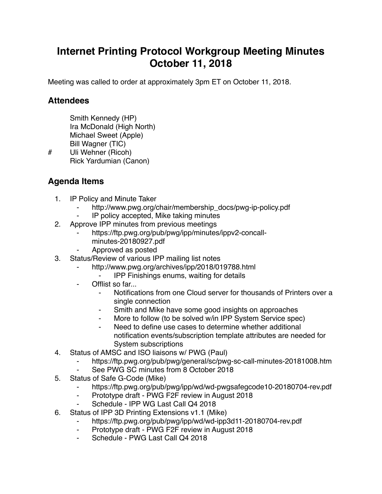## **Internet Printing Protocol Workgroup Meeting Minutes October 11, 2018**

Meeting was called to order at approximately 3pm ET on October 11, 2018.

## **Attendees**

Smith Kennedy (HP) Ira McDonald (High North) Michael Sweet (Apple) Bill Wagner (TIC) # Uli Wehner (Ricoh)

Rick Yardumian (Canon)

## **Agenda Items**

- 1. IP Policy and Minute Taker
	- http://www.pwg.org/chair/membership\_docs/pwg-ip-policy.pdf
	- IP policy accepted, Mike taking minutes
- 2. Approve IPP minutes from previous meetings
	- https://ftp.pwg.org/pub/pwg/ipp/minutes/ippv2-concallminutes-20180927.pdf
	- ⁃ Approved as posted
- 3. Status/Review of various IPP mailing list notes
	- http://www.pwg.org/archives/ipp/2018/019788.html
	- **IPP Finishings enums, waiting for details**
	- Offlist so far...
		- ⁃ Notifications from one Cloud server for thousands of Printers over a single connection
		- Smith and Mike have some good insights on approaches
		- More to follow (to be solved w/in IPP System Service spec)
		- Need to define use cases to determine whether additional notification events/subscription template attributes are needed for System subscriptions
- 4. Status of AMSC and ISO liaisons w/ PWG (Paul)
	- https://ftp.pwg.org/pub/pwg/general/sc/pwg-sc-call-minutes-20181008.htm
	- See PWG SC minutes from 8 October 2018
- 5. Status of Safe G-Code (Mike)
	- https://ftp.pwg.org/pub/pwg/ipp/wd/wd-pwgsafegcode10-20180704-rev.pdf
	- ⁃ Prototype draft PWG F2F review in August 2018
	- Schedule IPP WG Last Call Q4 2018
- 6. Status of IPP 3D Printing Extensions v1.1 (Mike)
	- https://ftp.pwg.org/pub/pwg/ipp/wd/wd-ipp3d11-20180704-rev.pdf
	- ⁃ Prototype draft PWG F2F review in August 2018
	- Schedule PWG Last Call Q4 2018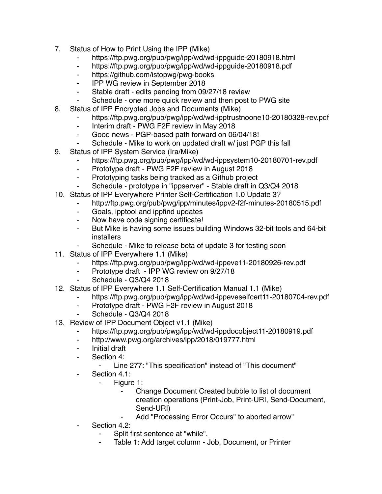- 7. Status of How to Print Using the IPP (Mike)
	- ⁃ https://ftp.pwg.org/pub/pwg/ipp/wd/wd-ippguide-20180918.html
	- https://ftp.pwg.org/pub/pwg/ipp/wd/wd-ippguide-20180918.pdf
	- ⁃ https://github.com/istopwg/pwg-books
	- ⁃ IPP WG review in September 2018
	- ⁃ Stable draft edits pending from 09/27/18 review
	- ⁃ Schedule one more quick review and then post to PWG site
- 8. Status of IPP Encrypted Jobs and Documents (Mike)
	- ⁃ https://ftp.pwg.org/pub/pwg/ipp/wd/wd-ipptrustnoone10-20180328-rev.pdf
	- ⁃ Interim draft PWG F2F review in May 2018
	- ⁃ Good news PGP-based path forward on 06/04/18!
	- Schedule Mike to work on updated draft w/ just PGP this fall
- 9. Status of IPP System Service (Ira/Mike)
	- https://ftp.pwg.org/pub/pwg/ipp/wd/wd-ippsystem10-20180701-rev.pdf
	- ⁃ Prototype draft PWG F2F review in August 2018
	- ⁃ Prototyping tasks being tracked as a Github project
	- Schedule prototype in "ippserver" Stable draft in Q3/Q4 2018
- 10. Status of IPP Everywhere Printer Self-Certification 1.0 Update 3?
	- ⁃ http://ftp.pwg.org/pub/pwg/ipp/minutes/ippv2-f2f-minutes-20180515.pdf
	- ⁃ Goals, ipptool and ippfind updates
	- ⁃ Now have code signing certificate!
	- ⁃ But Mike is having some issues building Windows 32-bit tools and 64-bit installers
	- Schedule Mike to release beta of update 3 for testing soon
- 11. Status of IPP Everywhere 1.1 (Mike)
	- https://ftp.pwg.org/pub/pwg/ipp/wd/wd-ippeve11-20180926-rev.pdf
	- ⁃ Prototype draft IPP WG review on 9/27/18
	- Schedule Q3/Q4 2018
- 12. Status of IPP Everywhere 1.1 Self-Certification Manual 1.1 (Mike)
	- https://ftp.pwg.org/pub/pwg/ipp/wd/wd-ippeveselfcert11-20180704-rev.pdf
	- ⁃ Prototype draft PWG F2F review in August 2018
	- Schedule Q3/Q4 2018
- 13. Review of IPP Document Object v1.1 (Mike)
	- https://ftp.pwg.org/pub/pwg/ipp/wd/wd-ippdocobject11-20180919.pdf
	- ⁃ http://www.pwg.org/archives/ipp/2018/019777.html
	- ⁃ Initial draft
	- ⁃ Section 4:
		- ⁃ Line 277: "This specification" instead of "This document"
	- ⁃ Section 4.1:
		- Figure 1:
			- Change Document Created bubble to list of document creation operations (Print-Job, Print-URI, Send-Document, Send-URI)
			- Add "Processing Error Occurs" to aborted arrow"
	- Section 4.2:
		- Split first sentence at "while".
		- Table 1: Add target column Job, Document, or Printer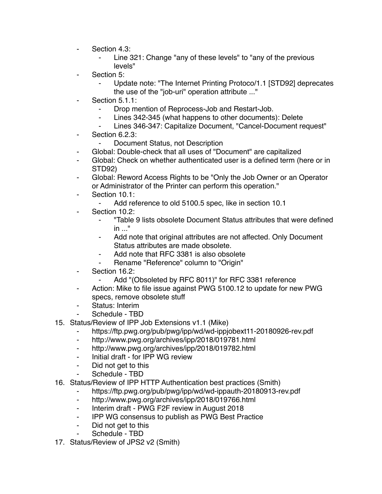- ⁃ Section 4.3:
	- Line 321: Change "any of these levels" to "any of the previous levels"
- Section 5:
	- Update note: "The Internet Printing Protoco/1.1 [STD92] deprecates the use of the "job-uri" operation attribute ..."
- Section 5.1.1:
	- ⁃ Drop mention of Reprocess-Job and Restart-Job.
	- Lines 342-345 (what happens to other documents): Delete
	- Lines 346-347: Capitalize Document, "Cancel-Document request"
- ⁃ Section 6.2.3:
	- ⁃ Document Status, not Description
- Global: Double-check that all uses of "Document" are capitalized
- Global: Check on whether authenticated user is a defined term (here or in STD92)
- Global: Reword Access Rights to be "Only the Job Owner or an Operator or Administrator of the Printer can perform this operation."
- ⁃ Section 10.1:
	- ⁃ Add reference to old 5100.5 spec, like in section 10.1
- Section 10.2:
	- ⁃ "Table 9 lists obsolete Document Status attributes that were defined in ..."
	- Add note that original attributes are not affected. Only Document Status attributes are made obsolete.
	- ⁃ Add note that RFC 3381 is also obsolete
	- Rename "Reference" column to "Origin"
- Section 16.2:
	- ⁃ Add "(Obsoleted by RFC 8011)" for RFC 3381 reference
- ⁃ Action: Mike to file issue against PWG 5100.12 to update for new PWG specs, remove obsolete stuff
- Status: Interim
- Schedule TBD
- 15. Status/Review of IPP Job Extensions v1.1 (Mike)
	- https://ftp.pwg.org/pub/pwg/ipp/wd/wd-ippjobext11-20180926-rev.pdf
	- ⁃ http://www.pwg.org/archives/ipp/2018/019781.html
	- ⁃ http://www.pwg.org/archives/ipp/2018/019782.html
	- ⁃ Initial draft for IPP WG review
	- ⁃ Did not get to this
	- Schedule TBD
- 16. Status/Review of IPP HTTP Authentication best practices (Smith)
	- https://ftp.pwg.org/pub/pwg/ipp/wd/wd-ippauth-20180913-rev.pdf
	- ⁃ http://www.pwg.org/archives/ipp/2018/019766.html
	- Interim draft PWG F2F review in August 2018
	- ⁃ IPP WG consensus to publish as PWG Best Practice
	- ⁃ Did not get to this
	- Schedule TBD
- 17. Status/Review of JPS2 v2 (Smith)